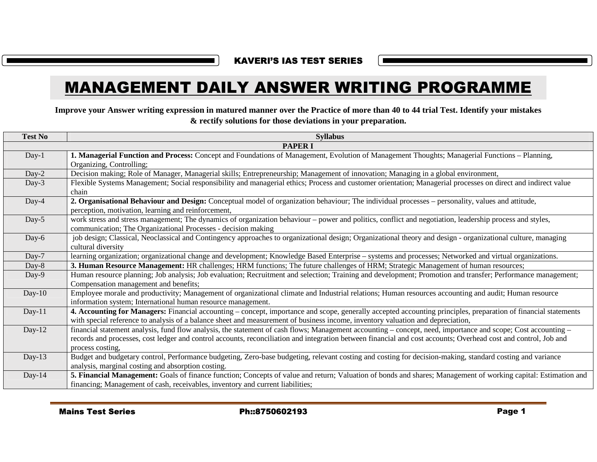KAVERI'S IAS TEST SERIES

|                | Improve your Answer writing expression in matured manner over the Practice of more than 40 to 44 trial Test. Identify your mistakes<br>& rectify solutions for those deviations in your preparation.                                                                                                                                                 |  |
|----------------|------------------------------------------------------------------------------------------------------------------------------------------------------------------------------------------------------------------------------------------------------------------------------------------------------------------------------------------------------|--|
| <b>Test No</b> | <b>Syllabus</b>                                                                                                                                                                                                                                                                                                                                      |  |
|                | <b>PAPER I</b>                                                                                                                                                                                                                                                                                                                                       |  |
| Day-1          | 1. Managerial Function and Process: Concept and Foundations of Management, Evolution of Management Thoughts; Managerial Functions – Planning,<br>Organizing, Controlling;                                                                                                                                                                            |  |
| Day-2          | Decision making; Role of Manager, Managerial skills; Entrepreneurship; Management of innovation; Managing in a global environment,                                                                                                                                                                                                                   |  |
| Day-3          | Flexible Systems Management; Social responsibility and managerial ethics; Process and customer orientation; Managerial processes on direct and indirect value<br>chain                                                                                                                                                                               |  |
| Day-4          | 2. Organisational Behaviour and Design: Conceptual model of organization behaviour; The individual processes – personality, values and attitude,<br>perception, motivation, learning and reinforcement,                                                                                                                                              |  |
| Day-5          | work stress and stress management; The dynamics of organization behaviour – power and politics, conflict and negotiation, leadership process and styles,<br>communication; The Organizational Processes - decision making                                                                                                                            |  |
| Day-6          | job design; Classical, Neoclassical and Contingency approaches to organizational design; Organizational theory and design - organizational culture, managing<br>cultural diversity                                                                                                                                                                   |  |
| Day-7          | learning organization; organizational change and development; Knowledge Based Enterprise – systems and processes; Networked and virtual organizations.                                                                                                                                                                                               |  |
| Day-8          | 3. Human Resource Management: HR challenges; HRM functions; The future challenges of HRM; Strategic Management of human resources;                                                                                                                                                                                                                   |  |
| Day-9          | Human resource planning; Job analysis; Job evaluation; Recruitment and selection; Training and development; Promotion and transfer; Performance management;<br>Compensation management and benefits;                                                                                                                                                 |  |
| $Day-10$       | Employee morale and productivity; Management of organizational climate and Industrial relations; Human resources accounting and audit; Human resource<br>information system; International human resource management.                                                                                                                                |  |
| $Day-11$       | 4. Accounting for Managers: Financial accounting – concept, importance and scope, generally accepted accounting principles, preparation of financial statements<br>with special reference to analysis of a balance sheet and measurement of business income, inventory valuation and depreciation,                                                   |  |
| Day- $12$      | financial statement analysis, fund flow analysis, the statement of cash flows; Management accounting – concept, need, importance and scope; Cost accounting –<br>records and processes, cost ledger and control accounts, reconciliation and integration between financial and cost accounts; Overhead cost and control, Job and<br>process costing, |  |
| Day-13         | Budget and budgetary control, Performance budgeting, Zero-base budgeting, relevant costing and costing for decision-making, standard costing and variance<br>analysis, marginal costing and absorption costing.                                                                                                                                      |  |
| Day- $14$      | 5. Financial Management: Goals of finance function; Concepts of value and return; Valuation of bonds and shares; Management of working capital: Estimation and<br>financing; Management of cash, receivables, inventory and current liabilities;                                                                                                     |  |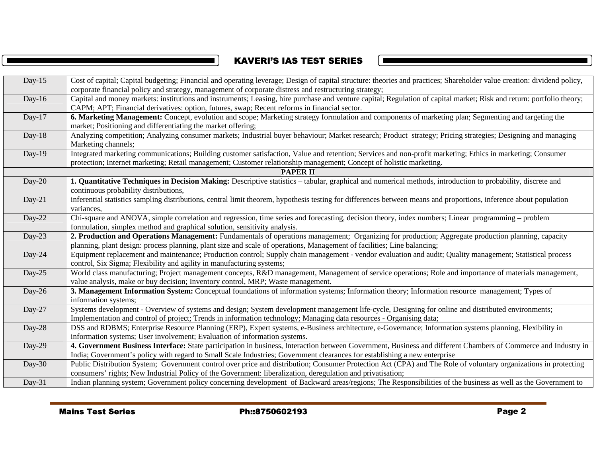# KAVERI'S IAS TEST SERIES

 $\blacksquare$ 

|           | <b>Mains Test Series</b><br>Ph::8750602193                                                                                                                                                                                                                                        | Page 2 |
|-----------|-----------------------------------------------------------------------------------------------------------------------------------------------------------------------------------------------------------------------------------------------------------------------------------|--------|
|           |                                                                                                                                                                                                                                                                                   |        |
| Day-31    | Indian planning system; Government policy concerning development of Backward areas/regions; The Responsibilities of the business as well as the Government to                                                                                                                     |        |
| Day-30    | Public Distribution System; Government control over price and distribution; Consumer Protection Act (CPA) and The Role of voluntary organizations in protecting<br>consumers' rights; New Industrial Policy of the Government: liberalization, deregulation and privatisation;    |        |
|           | India; Government's policy with regard to Small Scale Industries; Government clearances for establishing a new enterprise                                                                                                                                                         |        |
| Day-29    | 4. Government Business Interface: State participation in business, Interaction between Government, Business and different Chambers of Commerce and Industry in                                                                                                                    |        |
| Day-28    | DSS and RDBMS; Enterprise Resource Planning (ERP), Expert systems, e-Business architecture, e-Governance; Information systems planning, Flexibility in<br>information systems; User involvement; Evaluation of information systems.                                               |        |
| Day-27    | Systems development - Overview of systems and design; System development management life-cycle, Designing for online and distributed environments;<br>Implementation and control of project; Trends in information technology; Managing data resources - Organising data;         |        |
| Day-26    | 3. Management Information System: Conceptual foundations of information systems; Information theory; Information resource management; Types of<br>information systems;                                                                                                            |        |
| Day- $25$ | World class manufacturing; Project management concepts, R&D management, Management of service operations; Role and importance of materials management,<br>value analysis, make or buy decision; Inventory control, MRP; Waste management.                                         |        |
| Day-24    | Equipment replacement and maintenance; Production control; Supply chain management - vendor evaluation and audit; Quality management; Statistical process<br>control, Six Sigma; Flexibility and agility in manufacturing systems;                                                |        |
| Day-23    | 2. Production and Operations Management: Fundamentals of operations management; Organizing for production; Aggregate production planning, capacity<br>planning, plant design: process planning, plant size and scale of operations, Management of facilities; Line balancing;     |        |
| Day-22    | Chi-square and ANOVA, simple correlation and regression, time series and forecasting, decision theory, index numbers; Linear programming – problem<br>formulation, simplex method and graphical solution, sensitivity analysis.                                                   |        |
| $Day-21$  | inferential statistics sampling distributions, central limit theorem, hypothesis testing for differences between means and proportions, inference about population<br>variances,                                                                                                  |        |
| Day-20    | 1. Quantitative Techniques in Decision Making: Descriptive statistics - tabular, graphical and numerical methods, introduction to probability, discrete and<br>continuous probability distributions,                                                                              |        |
|           | <b>PAPER II</b>                                                                                                                                                                                                                                                                   |        |
| Day-19    | Integrated marketing communications; Building customer satisfaction, Value and retention; Services and non-profit marketing; Ethics in marketing; Consumer<br>protection; Internet marketing; Retail management; Customer relationship management; Concept of holistic marketing. |        |
| Day-18    | Analyzing competition; Analyzing consumer markets; Industrial buyer behaviour; Market research; Product strategy; Pricing strategies; Designing and managing<br>Marketing channels;                                                                                               |        |
| Day-17    | 6. Marketing Management: Concept, evolution and scope; Marketing strategy formulation and components of marketing plan; Segmenting and targeting the<br>market; Positioning and differentiating the market offering;                                                              |        |
| Day-16    | Capital and money markets: institutions and instruments; Leasing, hire purchase and venture capital; Regulation of capital market; Risk and return: portfolio theory;<br>CAPM; APT; Financial derivatives: option, futures, swap; Recent reforms in financial sector.             |        |
| Day- $15$ | Cost of capital; Capital budgeting; Financial and operating leverage; Design of capital structure: theories and practices; Shareholder value creation: dividend policy,<br>corporate financial policy and strategy, management of corporate distress and restructuring strategy;  |        |
|           |                                                                                                                                                                                                                                                                                   |        |